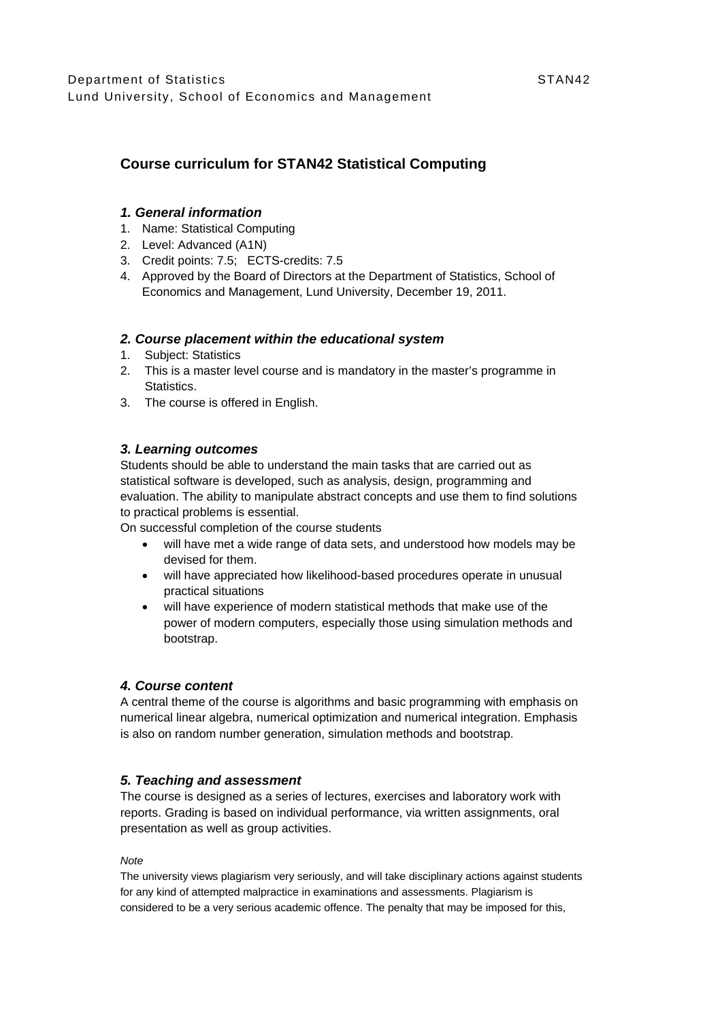# **Course curriculum for STAN42 Statistical Computing**

### *1. General information*

- 1. Name: Statistical Computing
- 2. Level: Advanced (A1N)
- 3. Credit points: 7.5; ECTS-credits: 7.5
- 4. Approved by the Board of Directors at the Department of Statistics, School of Economics and Management, Lund University, December 19, 2011.

### *2. Course placement within the educational system*

- 1. Subject: Statistics
- 2. This is a master level course and is mandatory in the master's programme in Statistics.
- 3. The course is offered in English.

### *3. Learning outcomes*

Students should be able to understand the main tasks that are carried out as statistical software is developed, such as analysis, design, programming and evaluation. The ability to manipulate abstract concepts and use them to find solutions to practical problems is essential.

On successful completion of the course students

- will have met a wide range of data sets, and understood how models may be devised for them.
- will have appreciated how likelihood-based procedures operate in unusual practical situations
- will have experience of modern statistical methods that make use of the power of modern computers, especially those using simulation methods and bootstrap.

#### *4. Course content*

A central theme of the course is algorithms and basic programming with emphasis on numerical linear algebra, numerical optimization and numerical integration. Emphasis is also on random number generation, simulation methods and bootstrap.

### *5. Teaching and assessment*

The course is designed as a series of lectures, exercises and laboratory work with reports. Grading is based on individual performance, via written assignments, oral presentation as well as group activities.

#### *Note*

The university views plagiarism very seriously, and will take disciplinary actions against students for any kind of attempted malpractice in examinations and assessments. Plagiarism is considered to be a very serious academic offence. The penalty that may be imposed for this,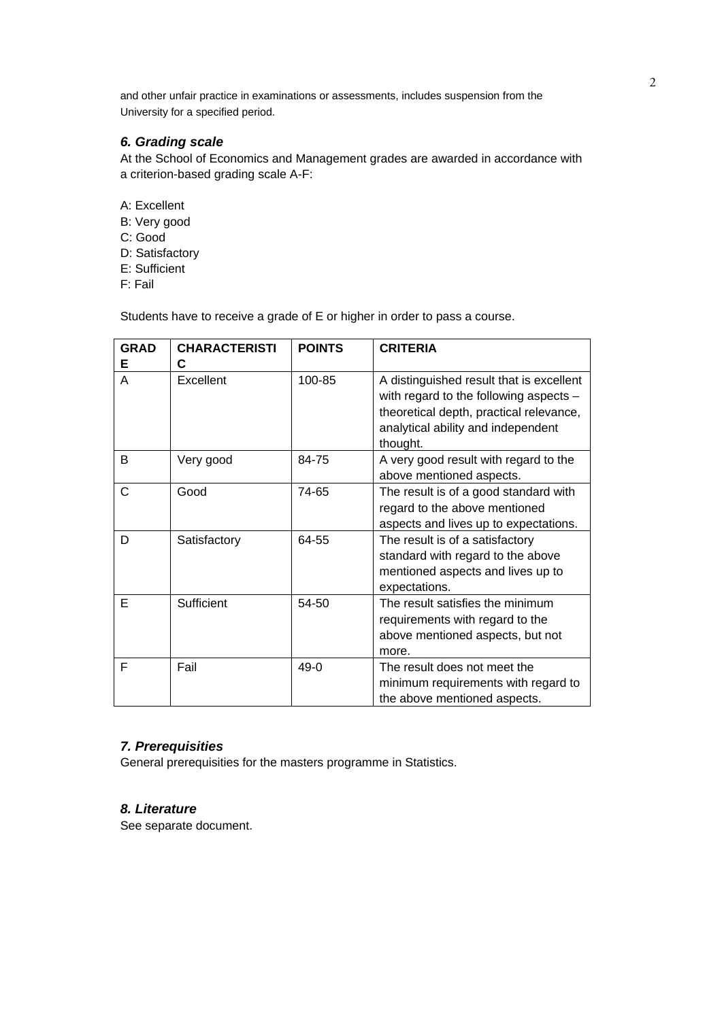and other unfair practice in examinations or assessments, includes suspension from the University for a specified period.

## *6. Grading scale*

At the School of Economics and Management grades are awarded in accordance with a criterion-based grading scale A-F:

- A: Excellent
- B: Very good
- C: Good
- D: Satisfactory
- E: Sufficient
- F: Fail

Students have to receive a grade of E or higher in order to pass a course.

| <b>GRAD</b><br>Е | <b>CHARACTERISTI</b><br>C | <b>POINTS</b> | <b>CRITERIA</b>                                                                                                                                                                 |
|------------------|---------------------------|---------------|---------------------------------------------------------------------------------------------------------------------------------------------------------------------------------|
| A                | Excellent                 | 100-85        | A distinguished result that is excellent<br>with regard to the following aspects -<br>theoretical depth, practical relevance,<br>analytical ability and independent<br>thought. |
| B                | Very good                 | 84-75         | A very good result with regard to the<br>above mentioned aspects.                                                                                                               |
| C                | Good                      | 74-65         | The result is of a good standard with<br>regard to the above mentioned<br>aspects and lives up to expectations.                                                                 |
| D                | Satisfactory              | 64-55         | The result is of a satisfactory<br>standard with regard to the above<br>mentioned aspects and lives up to<br>expectations.                                                      |
| Е                | Sufficient                | 54-50         | The result satisfies the minimum<br>requirements with regard to the<br>above mentioned aspects, but not<br>more.                                                                |
| F                | Fail                      | $49-0$        | The result does not meet the<br>minimum requirements with regard to<br>the above mentioned aspects.                                                                             |

## *7. Prerequisities*

General prerequisities for the masters programme in Statistics.

### *8. Literature*

See separate document.